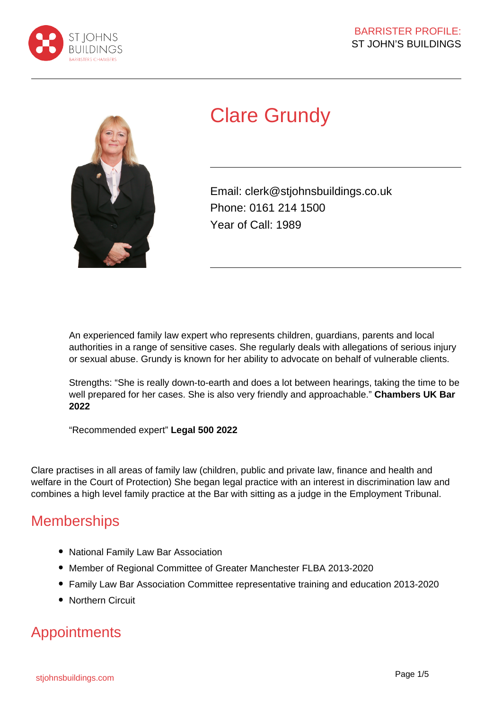



# Clare Grundy

Email: clerk@stjohnsbuildings.co.uk Phone: 0161 214 1500 Year of Call: 1989

An experienced family law expert who represents children, guardians, parents and local authorities in a range of sensitive cases. She regularly deals with allegations of serious injury or sexual abuse. Grundy is known for her ability to advocate on behalf of vulnerable clients.

Strengths: "She is really down-to-earth and does a lot between hearings, taking the time to be well prepared for her cases. She is also very friendly and approachable." **Chambers UK Bar 2022**

"Recommended expert" **Legal 500 2022**

Clare practises in all areas of family law (children, public and private law, finance and health and welfare in the Court of Protection) She began legal practice with an interest in discrimination law and combines a high level family practice at the Bar with sitting as a judge in the Employment Tribunal.

### **Memberships**

- National Family Law Bar Association
- Member of Regional Committee of Greater Manchester FLBA 2013-2020
- Family Law Bar Association Committee representative training and education 2013-2020
- Northern Circuit

### Appointments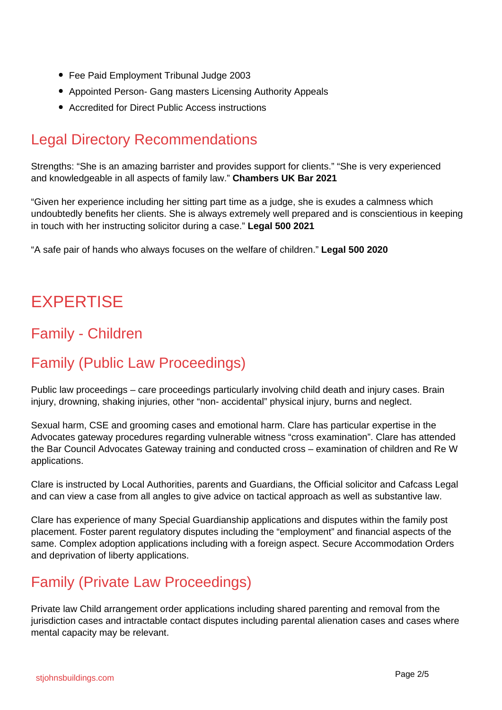- Fee Paid Employment Tribunal Judge 2003
- Appointed Person- Gang masters Licensing Authority Appeals
- Accredited for Direct Public Access instructions

## Legal Directory Recommendations

Strengths: "She is an amazing barrister and provides support for clients." "She is very experienced and knowledgeable in all aspects of family law." **Chambers UK Bar 2021**

"Given her experience including her sitting part time as a judge, she is exudes a calmness which undoubtedly benefits her clients. She is always extremely well prepared and is conscientious in keeping in touch with her instructing solicitor during a case." **Legal 500 2021**

"A safe pair of hands who always focuses on the welfare of children." **Legal 500 2020**

# **EXPERTISE**

## Family - Children

## Family (Public Law Proceedings)

Public law proceedings – care proceedings particularly involving child death and injury cases. Brain injury, drowning, shaking injuries, other "non- accidental" physical injury, burns and neglect.

Sexual harm, CSE and grooming cases and emotional harm. Clare has particular expertise in the Advocates gateway procedures regarding vulnerable witness "cross examination". Clare has attended the Bar Council Advocates Gateway training and conducted cross – examination of children and Re W applications.

Clare is instructed by Local Authorities, parents and Guardians, the Official solicitor and Cafcass Legal and can view a case from all angles to give advice on tactical approach as well as substantive law.

Clare has experience of many Special Guardianship applications and disputes within the family post placement. Foster parent regulatory disputes including the "employment" and financial aspects of the same. Complex adoption applications including with a foreign aspect. Secure Accommodation Orders and deprivation of liberty applications.

### Family (Private Law Proceedings)

Private law Child arrangement order applications including shared parenting and removal from the jurisdiction cases and intractable contact disputes including parental alienation cases and cases where mental capacity may be relevant.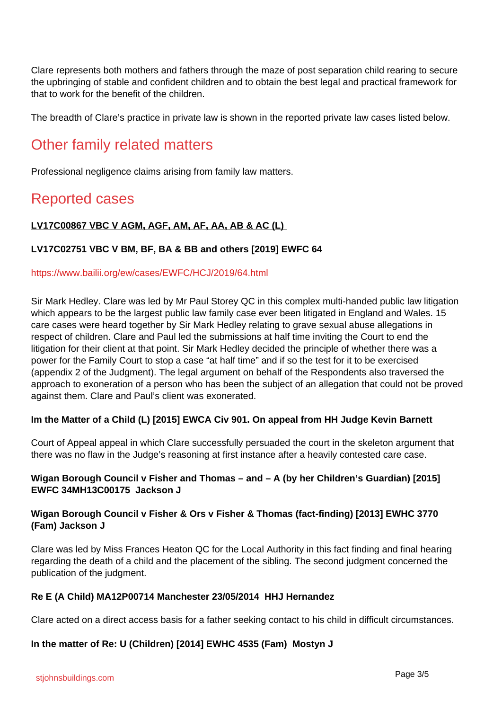Clare represents both mothers and fathers through the maze of post separation child rearing to secure the upbringing of stable and confident children and to obtain the best legal and practical framework for that to work for the benefit of the children.

The breadth of Clare's practice in private law is shown in the reported private law cases listed below.

### Other family related matters

Professional negligence claims arising from family law matters.

### Reported cases

#### **LV17C00867 VBC V AGM, AGF, AM, AF, AA, AB & AC (L)**

#### **LV17C02751 VBC V BM, BF, BA & BB and others [2019] EWFC 64**

#### https://www.bailii.org/ew/cases/EWFC/HCJ/2019/64.html

Sir Mark Hedley. Clare was led by Mr Paul Storey QC in this complex multi-handed public law litigation which appears to be the largest public law family case ever been litigated in England and Wales. 15 care cases were heard together by Sir Mark Hedley relating to grave sexual abuse allegations in respect of children. Clare and Paul led the submissions at half time inviting the Court to end the litigation for their client at that point. Sir Mark Hedley decided the principle of whether there was a power for the Family Court to stop a case "at half time" and if so the test for it to be exercised (appendix 2 of the Judgment). The legal argument on behalf of the Respondents also traversed the approach to exoneration of a person who has been the subject of an allegation that could not be proved against them. Clare and Paul's client was exonerated.

#### **Im the Matter of a Child (L) [2015] EWCA Civ 901. On appeal from HH Judge Kevin Barnett**

Court of Appeal appeal in which Clare successfully persuaded the court in the skeleton argument that there was no flaw in the Judge's reasoning at first instance after a heavily contested care case.

#### **Wigan Borough Council v Fisher and Thomas – and – A (by her Children's Guardian) [2015] EWFC 34MH13C00175 Jackson J**

#### **Wigan Borough Council v Fisher & Ors v Fisher & Thomas (fact-finding) [2013] EWHC 3770 (Fam) Jackson J**

Clare was led by Miss Frances Heaton QC for the Local Authority in this fact finding and final hearing regarding the death of a child and the placement of the sibling. The second judgment concerned the publication of the judgment.

#### **Re E (A Child) MA12P00714 Manchester 23/05/2014 HHJ Hernandez**

Clare acted on a direct access basis for a father seeking contact to his child in difficult circumstances.

#### **In the matter of Re: U (Children) [2014] EWHC 4535 (Fam) Mostyn J**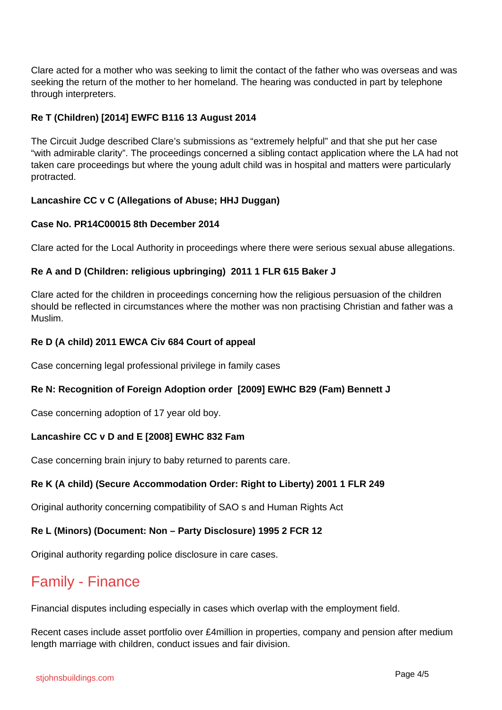Clare acted for a mother who was seeking to limit the contact of the father who was overseas and was seeking the return of the mother to her homeland. The hearing was conducted in part by telephone through interpreters.

#### **Re T (Children) [2014] EWFC B116 13 August 2014**

The Circuit Judge described Clare's submissions as "extremely helpful" and that she put her case "with admirable clarity". The proceedings concerned a sibling contact application where the LA had not taken care proceedings but where the young adult child was in hospital and matters were particularly protracted.

#### **Lancashire CC v C (Allegations of Abuse; HHJ Duggan)**

#### **Case No. PR14C00015 8th December 2014**

Clare acted for the Local Authority in proceedings where there were serious sexual abuse allegations.

#### **Re A and D (Children: religious upbringing) 2011 1 FLR 615 Baker J**

Clare acted for the children in proceedings concerning how the religious persuasion of the children should be reflected in circumstances where the mother was non practising Christian and father was a Muslim.

#### **Re D (A child) 2011 EWCA Civ 684 Court of appeal**

Case concerning legal professional privilege in family cases

#### **Re N: Recognition of Foreign Adoption order [2009] EWHC B29 (Fam) Bennett J**

Case concerning adoption of 17 year old boy.

#### **Lancashire CC v D and E [2008] EWHC 832 Fam**

Case concerning brain injury to baby returned to parents care.

#### **Re K (A child) (Secure Accommodation Order: Right to Liberty) 2001 1 FLR 249**

Original authority concerning compatibility of SAO s and Human Rights Act

#### **Re L (Minors) (Document: Non – Party Disclosure) 1995 2 FCR 12**

Original authority regarding police disclosure in care cases.

### Family - Finance

Financial disputes including especially in cases which overlap with the employment field.

Recent cases include asset portfolio over £4million in properties, company and pension after medium length marriage with children, conduct issues and fair division.